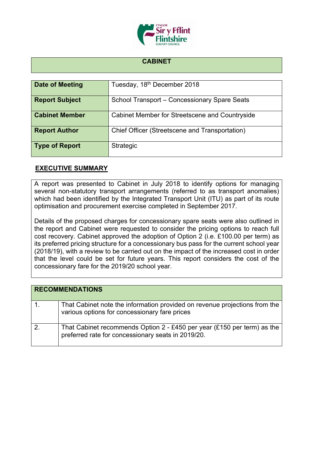

## **CABINET**

| Date of Meeting       | Tuesday, 18th December 2018                    |
|-----------------------|------------------------------------------------|
| <b>Report Subject</b> | School Transport - Concessionary Spare Seats   |
| <b>Cabinet Member</b> | Cabinet Member for Streetscene and Countryside |
| <b>Report Author</b>  | Chief Officer (Streetscene and Transportation) |
| <b>Type of Report</b> | <b>Strategic</b>                               |

## **EXECUTIVE SUMMARY**

A report was presented to Cabinet in July 2018 to identify options for managing several non-statutory transport arrangements (referred to as transport anomalies) which had been identified by the Integrated Transport Unit (ITU) as part of its route optimisation and procurement exercise completed in September 2017.

Details of the proposed charges for concessionary spare seats were also outlined in the report and Cabinet were requested to consider the pricing options to reach full cost recovery. Cabinet approved the adoption of Option 2 (i.e. £100.00 per term) as its preferred pricing structure for a concessionary bus pass for the current school year (2018/19), with a review to be carried out on the impact of the increased cost in order that the level could be set for future years. This report considers the cost of the concessionary fare for the 2019/20 school year.

| <b>RECOMMENDATIONS</b> |                                                                                                                               |
|------------------------|-------------------------------------------------------------------------------------------------------------------------------|
|                        | That Cabinet note the information provided on revenue projections from the<br>various options for concessionary fare prices   |
|                        | That Cabinet recommends Option 2 - £450 per year (£150 per term) as the<br>preferred rate for concessionary seats in 2019/20. |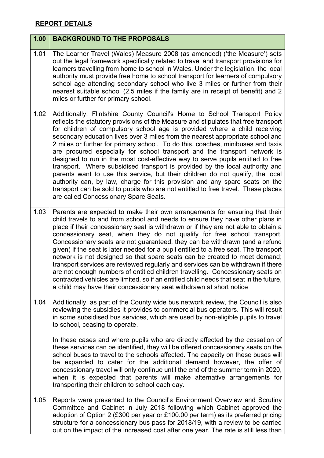## **REPORT DETAILS**

| 1.00 | <b>BACKGROUND TO THE PROPOSALS</b>                                                                                                                                                                                                                                                                                                                                                                                                                                                                                                                                                                                                                                                                                                                                                                                                                                                                                                                                |
|------|-------------------------------------------------------------------------------------------------------------------------------------------------------------------------------------------------------------------------------------------------------------------------------------------------------------------------------------------------------------------------------------------------------------------------------------------------------------------------------------------------------------------------------------------------------------------------------------------------------------------------------------------------------------------------------------------------------------------------------------------------------------------------------------------------------------------------------------------------------------------------------------------------------------------------------------------------------------------|
| 1.01 | The Learner Travel (Wales) Measure 2008 (as amended) ('the Measure') sets<br>out the legal framework specifically related to travel and transport provisions for<br>learners travelling from home to school in Wales. Under the legislation, the local<br>authority must provide free home to school transport for learners of compulsory<br>school age attending secondary school who live 3 miles or further from their<br>nearest suitable school (2.5 miles if the family are in receipt of benefit) and 2<br>miles or further for primary school.                                                                                                                                                                                                                                                                                                                                                                                                            |
| 1.02 | Additionally, Flintshire County Council's Home to School Transport Policy<br>reflects the statutory provisions of the Measure and stipulates that free transport<br>for children of compulsory school age is provided where a child receiving<br>secondary education lives over 3 miles from the nearest appropriate school and<br>2 miles or further for primary school. To do this, coaches, minibuses and taxis<br>are procured especially for school transport and the transport network is<br>designed to run in the most cost-effective way to serve pupils entitled to free<br>transport. Where subsidised transport is provided by the local authority and<br>parents want to use this service, but their children do not qualify, the local<br>authority can, by law, charge for this provision and any spare seats on the<br>transport can be sold to pupils who are not entitled to free travel. These places<br>are called Concessionary Spare Seats. |
| 1.03 | Parents are expected to make their own arrangements for ensuring that their<br>child travels to and from school and needs to ensure they have other plans in<br>place if their concessionary seat is withdrawn or if they are not able to obtain a<br>concessionary seat, when they do not qualify for free school transport.<br>Concessionary seats are not guaranteed, they can be withdrawn (and a refund<br>given) if the seat is later needed for a pupil entitled to a free seat. The transport<br>network is not designed so that spare seats can be created to meet demand;<br>transport services are reviewed regularly and services can be withdrawn if there<br>are not enough numbers of entitled children travelling. Concessionary seats on<br>contracted vehicles are limited, so if an entitled child needs that seat in the future,<br>a child may have their concessionary seat withdrawn at short notice                                       |
| 1.04 | Additionally, as part of the County wide bus network review, the Council is also<br>reviewing the subsidies it provides to commercial bus operators. This will result<br>in some subsidised bus services, which are used by non-eligible pupils to travel<br>to school, ceasing to operate.                                                                                                                                                                                                                                                                                                                                                                                                                                                                                                                                                                                                                                                                       |
|      | In these cases and where pupils who are directly affected by the cessation of<br>these services can be identified, they will be offered concessionary seats on the<br>school buses to travel to the schools affected. The capacity on these buses will<br>be expanded to cater for the additional demand however, the offer of<br>concessionary travel will only continue until the end of the summer term in 2020,<br>when it is expected that parents will make alternative arrangements for<br>transporting their children to school each day.                                                                                                                                                                                                                                                                                                                                                                                                                 |
| 1.05 | Reports were presented to the Council's Environment Overview and Scrutiny<br>Committee and Cabinet in July 2018 following which Cabinet approved the<br>adoption of Option 2 (£300 per year or £100.00 per term) as its preferred pricing<br>structure for a concessionary bus pass for 2018/19, with a review to be carried<br>out on the impact of the increased cost after one year. The rate is still less than                                                                                                                                                                                                                                                                                                                                                                                                                                                                                                                                               |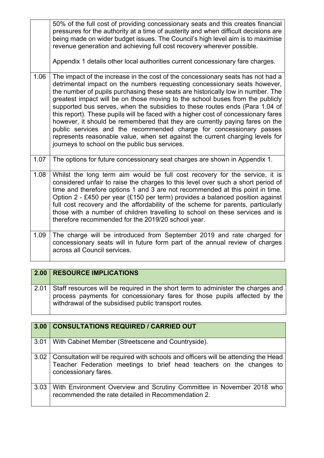|      | 50% of the full cost of providing concessionary seats and this creates financial<br>pressures for the authority at a time of austerity and when difficult decisions are<br>being made on wider budget issues. The Council's high level aim is to maximise<br>revenue generation and achieving full cost recovery wherever possible.<br>Appendix 1 details other local authorities current concessionary fare charges.                                                                                                                                                                                                                                                                                                                                                                           |
|------|-------------------------------------------------------------------------------------------------------------------------------------------------------------------------------------------------------------------------------------------------------------------------------------------------------------------------------------------------------------------------------------------------------------------------------------------------------------------------------------------------------------------------------------------------------------------------------------------------------------------------------------------------------------------------------------------------------------------------------------------------------------------------------------------------|
| 1.06 | The impact of the increase in the cost of the concessionary seats has not had a<br>detrimental impact on the numbers requesting concessionary seats however,<br>the number of pupils purchasing these seats are historically low in number. The<br>greatest impact will be on those moving to the school buses from the publicly<br>supported bus serves, when the subsidies to these routes ends (Para 1.04 of<br>this report). These pupils will be faced with a higher cost of concessionary fares<br>however, it should be remembered that they are currently paying fares on the<br>public services and the recommended charge for concessionary passes<br>represents reasonable value, when set against the current charging levels for<br>journeys to school on the public bus services. |
| 1.07 | The options for future concessionary seat charges are shown in Appendix 1.                                                                                                                                                                                                                                                                                                                                                                                                                                                                                                                                                                                                                                                                                                                      |
| 1.08 | Whilst the long term aim would be full cost recovery for the service, it is<br>considered unfair to raise the charges to this level over such a short period of<br>time and therefore options 1 and 3 are not recommended at this point in time.<br>Option 2 - £450 per year (£150 per term) provides a balanced position against<br>full cost recovery and the affordability of the scheme for parents, particularly<br>those with a number of children travelling to school on these services and is<br>therefore recommended for the 2019/20 school year.                                                                                                                                                                                                                                    |
| 1.09 | The charge will be introduced from September 2019 and rate charged for<br>concessionary seats will in future form part of the annual review of charges<br>across all Council services.                                                                                                                                                                                                                                                                                                                                                                                                                                                                                                                                                                                                          |

| 2.00 | <b>RESOURCE IMPLICATIONS</b>                                                                                                                                                                                                |
|------|-----------------------------------------------------------------------------------------------------------------------------------------------------------------------------------------------------------------------------|
|      | 2.01 Staff resources will be required in the short term to administer the charges and<br>process payments for concessionary fares for those pupils affected by the<br>withdrawal of the subsidised public transport routes. |

| 3.00 | <b>CONSULTATIONS REQUIRED / CARRIED OUT</b>                                                                                                                                               |
|------|-------------------------------------------------------------------------------------------------------------------------------------------------------------------------------------------|
| 3.01 | With Cabinet Member (Streetscene and Countryside).                                                                                                                                        |
|      | 3.02   Consultation will be required with schools and officers will be attending the Head<br>Teacher Federation meetings to brief head teachers on the changes to<br>concessionary fares. |
| 3.03 | With Environment Overview and Scrutiny Committee in November 2018 who<br>recommended the rate detailed in Recommendation 2.                                                               |